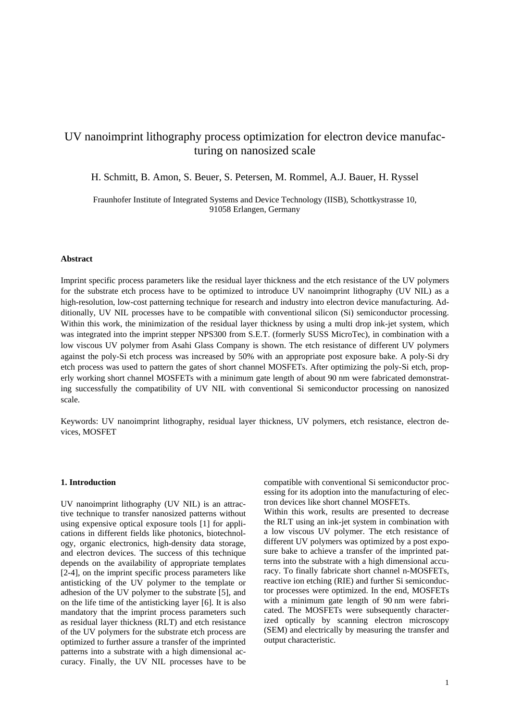# UV nanoimprint lithography process optimization for electron device manufacturing on nanosized scale

H. Schmitt, B. Amon, S. Beuer, S. Petersen, M. Rommel, A.J. Bauer, H. Ryssel

Fraunhofer Institute of Integrated Systems and Device Technology (IISB), Schottkystrasse 10, 91058 Erlangen, Germany

#### **Abstract**

Imprint specific process parameters like the residual layer thickness and the etch resistance of the UV polymers for the substrate etch process have to be optimized to introduce UV nanoimprint lithography (UV NIL) as a high-resolution, low-cost patterning technique for research and industry into electron device manufacturing. Additionally, UV NIL processes have to be compatible with conventional silicon (Si) semiconductor processing. Within this work, the minimization of the residual layer thickness by using a multi drop ink-jet system, which was integrated into the imprint stepper NPS300 from S.E.T. (formerly SUSS MicroTec), in combination with a low viscous UV polymer from Asahi Glass Company is shown. The etch resistance of different UV polymers against the poly-Si etch process was increased by 50% with an appropriate post exposure bake. A poly-Si dry etch process was used to pattern the gates of short channel MOSFETs. After optimizing the poly-Si etch, properly working short channel MOSFETs with a minimum gate length of about 90 nm were fabricated demonstrating successfully the compatibility of UV NIL with conventional Si semiconductor processing on nanosized scale.

Keywords: UV nanoimprint lithography, residual layer thickness, UV polymers, etch resistance, electron devices, MOSFET

### **1. Introduction**

UV nanoimprint lithography (UV NIL) is an attractive technique to transfer nanosized patterns without using expensive optical exposure tools [1] for applications in different fields like photonics, biotechnology, organic electronics, high-density data storage, and electron devices. The success of this technique depends on the availability of appropriate templates [2-4], on the imprint specific process parameters like antisticking of the UV polymer to the template or adhesion of the UV polymer to the substrate [5], and on the life time of the antisticking layer [6]. It is also mandatory that the imprint process parameters such as residual layer thickness (RLT) and etch resistance of the UV polymers for the substrate etch process are optimized to further assure a transfer of the imprinted patterns into a substrate with a high dimensional accuracy. Finally, the UV NIL processes have to be

compatible with conventional Si semiconductor processing for its adoption into the manufacturing of electron devices like short channel MOSFETs.

Within this work, results are presented to decrease the RLT using an ink-jet system in combination with a low viscous UV polymer. The etch resistance of different UV polymers was optimized by a post exposure bake to achieve a transfer of the imprinted patterns into the substrate with a high dimensional accuracy. To finally fabricate short channel n-MOSFETs, reactive ion etching (RIE) and further Si semiconductor processes were optimized. In the end, MOSFETs with a minimum gate length of 90 nm were fabricated. The MOSFETs were subsequently characterized optically by scanning electron microscopy (SEM) and electrically by measuring the transfer and output characteristic.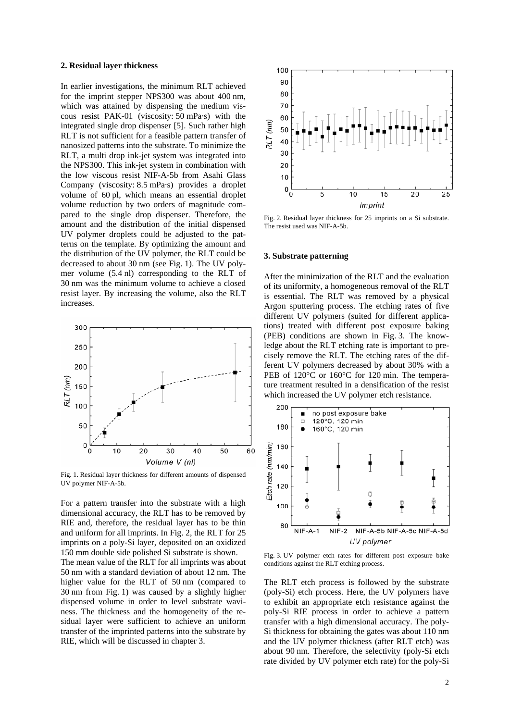#### **2. Residual layer thickness**

In earlier investigations, the minimum RLT achieved for the imprint stepper NPS300 was about 400 nm, which was attained by dispensing the medium viscous resist PAK-01 (viscosity: 50 mPa·s) with the integrated single drop dispenser [5]. Such rather high RLT is not sufficient for a feasible pattern transfer of nanosized patterns into the substrate. To minimize the RLT, a multi drop ink-jet system was integrated into the NPS300. This ink-jet system in combination with the low viscous resist NIF-A-5b from Asahi Glass Company (viscosity: 8.5 mPa·s) provides a droplet volume of 60 pl, which means an essential droplet volume reduction by two orders of magnitude compared to the single drop dispenser. Therefore, the amount and the distribution of the initial dispensed UV polymer droplets could be adjusted to the patterns on the template. By optimizing the amount and the distribution of the UV polymer, the RLT could be decreased to about 30 nm (see Fig. 1). The UV polymer volume (5.4 nl) corresponding to the RLT of 30 nm was the minimum volume to achieve a closed resist layer. By increasing the volume, also the RLT increases.



Fig. 1. Residual layer thickness for different amounts of dispensed UV polymer NIF-A-5b.

For a pattern transfer into the substrate with a high dimensional accuracy, the RLT has to be removed by RIE and, therefore, the residual layer has to be thin and uniform for all imprints. In Fig. 2, the RLT for 25 imprints on a poly-Si layer, deposited on an oxidized 150 mm double side polished Si substrate is shown.

The mean value of the RLT for all imprints was about 50 nm with a standard deviation of about 12 nm. The higher value for the RLT of 50 nm (compared to 30 nm from Fig. 1) was caused by a slightly higher dispensed volume in order to level substrate waviness. The thickness and the homogeneity of the residual layer were sufficient to achieve an uniform transfer of the imprinted patterns into the substrate by RIE, which will be discussed in chapter 3.



Fig. 2. Residual layer thickness for 25 imprints on a Si substrate. The resist used was NIF-A-5b.

#### **3. Substrate patterning**

After the minimization of the RLT and the evaluation of its uniformity, a homogeneous removal of the RLT is essential. The RLT was removed by a physical Argon sputtering process. The etching rates of five different UV polymers (suited for different applications) treated with different post exposure baking (PEB) conditions are shown in Fig. 3. The knowledge about the RLT etching rate is important to precisely remove the RLT. The etching rates of the different UV polymers decreased by about 30% with a PEB of 120<sup>°</sup>C or 160<sup>°</sup>C for 120 min. The temperature treatment resulted in a densification of the resist which increased the UV polymer etch resistance.



Fig. 3. UV polymer etch rates for different post exposure bake conditions against the RLT etching process.

The RLT etch process is followed by the substrate (poly-Si) etch process. Here, the UV polymers have to exhibit an appropriate etch resistance against the poly-Si RIE process in order to achieve a pattern transfer with a high dimensional accuracy. The poly-Si thickness for obtaining the gates was about 110 nm and the UV polymer thickness (after RLT etch) was about 90 nm. Therefore, the selectivity (poly-Si etch rate divided by UV polymer etch rate) for the poly-Si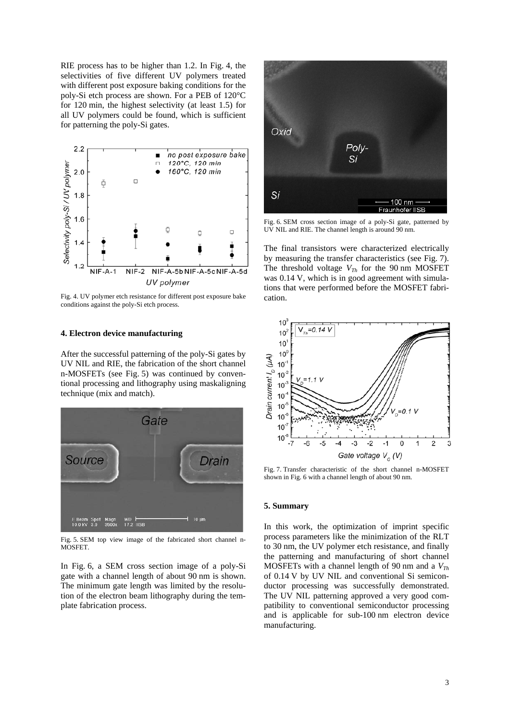RIE process has to be higher than 1.2. In Fig. 4, the selectivities of five different UV polymers treated with different post exposure baking conditions for the poly-Si etch process are shown. For a PEB of 120°C for 120 min, the highest selectivity (at least 1.5) for all UV polymers could be found, which is sufficient for patterning the poly-Si gates.



Fig. 4. UV polymer etch resistance for different post exposure bake conditions against the poly-Si etch process.

## **4. Electron device manufacturing**

After the successful patterning of the poly-Si gates by UV NIL and RIE, the fabrication of the short channel n-MOSFETs (see Fig. 5) was continued by conventional processing and lithography using maskaligning technique (mix and match).



Fig. 5. SEM top view image of the fabricated short channel n-MOSFET.

In Fig. 6, a SEM cross section image of a poly-Si gate with a channel length of about 90 nm is shown. The minimum gate length was limited by the resolution of the electron beam lithography during the template fabrication process.



Fig. 6. SEM cross section image of a poly-Si gate, patterned by UV NIL and RIE. The channel length is around 90 nm.

The final transistors were characterized electrically by measuring the transfer characteristics (see Fig. 7). The threshold voltage  $V_{Th}$  for the 90 nm MOSFET was 0.14 V, which is in good agreement with simulations that were performed before the MOSFET fabrication.



Fig. 7. Transfer characteristic of the short channel n-MOSFET shown in Fig. 6 with a channel length of about 90 nm.

#### **5. Summary**

In this work, the optimization of imprint specific process parameters like the minimization of the RLT to 30 nm, the UV polymer etch resistance, and finally the patterning and manufacturing of short channel MOSFETs with a channel length of 90 nm and a  $V_{Th}$ of 0.14 V by UV NIL and conventional Si semiconductor processing was successfully demonstrated. The UV NIL patterning approved a very good compatibility to conventional semiconductor processing and is applicable for sub-100 nm electron device manufacturing.